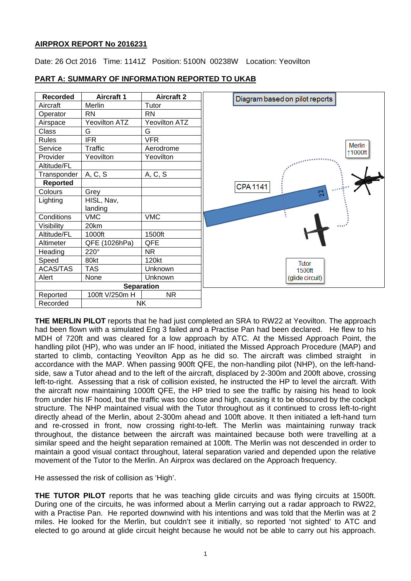## **AIRPROX REPORT No 2016231**

Date: 26 Oct 2016 Time: 1141Z Position: 5100N 00238W Location: Yeovilton



## **PART A: SUMMARY OF INFORMATION REPORTED TO UKAB**

**THE MERLIN PILOT** reports that he had just completed an SRA to RW22 at Yeovilton. The approach had been flown with a simulated Eng 3 failed and a Practise Pan had been declared. He flew to his MDH of 720ft and was cleared for a low approach by ATC. At the Missed Approach Point, the handling pilot (HP), who was under an IF hood, initiated the Missed Approach Procedure (MAP) and started to climb, contacting Yeovilton App as he did so. The aircraft was climbed straight in accordance with the MAP. When passing 900ft QFE, the non-handling pilot (NHP), on the left-handside, saw a Tutor ahead and to the left of the aircraft, displaced by 2-300m and 200ft above, crossing left-to-right. Assessing that a risk of collision existed, he instructed the HP to level the aircraft. With the aircraft now maintaining 1000ft QFE, the HP tried to see the traffic by raising his head to look from under his IF hood, but the traffic was too close and high, causing it to be obscured by the cockpit structure. The NHP maintained visual with the Tutor throughout as it continued to cross left-to-right directly ahead of the Merlin, about 2-300m ahead and 100ft above. It then initiated a left-hand turn and re-crossed in front, now crossing right-to-left. The Merlin was maintaining runway track throughout, the distance between the aircraft was maintained because both were travelling at a similar speed and the height separation remained at 100ft. The Merlin was not descended in order to maintain a good visual contact throughout, lateral separation varied and depended upon the relative movement of the Tutor to the Merlin. An Airprox was declared on the Approach frequency.

He assessed the risk of collision as 'High'.

**THE TUTOR PILOT** reports that he was teaching glide circuits and was flying circuits at 1500ft. During one of the circuits, he was informed about a Merlin carrying out a radar approach to RW22, with a Practise Pan. He reported downwind with his intentions and was told that the Merlin was at 2 miles. He looked for the Merlin, but couldn't see it initially, so reported 'not sighted' to ATC and elected to go around at glide circuit height because he would not be able to carry out his approach.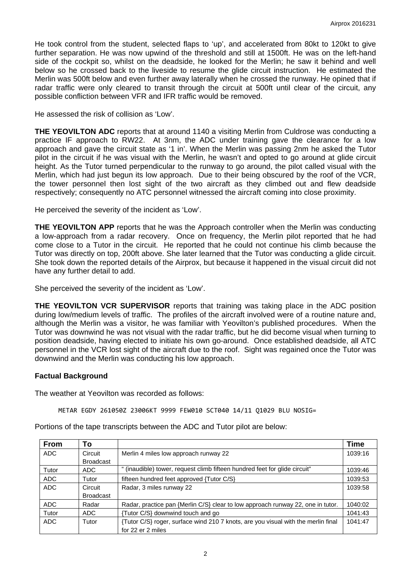He took control from the student, selected flaps to 'up', and accelerated from 80kt to 120kt to give further separation. He was now upwind of the threshold and still at 1500ft. He was on the left-hand side of the cockpit so, whilst on the deadside, he looked for the Merlin; he saw it behind and well below so he crossed back to the liveside to resume the glide circuit instruction. He estimated the Merlin was 500ft below and even further away laterally when he crossed the runway. He opined that if radar traffic were only cleared to transit through the circuit at 500ft until clear of the circuit, any possible confliction between VFR and IFR traffic would be removed.

He assessed the risk of collision as 'Low'.

**THE YEOVILTON ADC** reports that at around 1140 a visiting Merlin from Culdrose was conducting a practice IF approach to RW22. At 3nm, the ADC under training gave the clearance for a low approach and gave the circuit state as '1 in'. When the Merlin was passing 2nm he asked the Tutor pilot in the circuit if he was visual with the Merlin, he wasn't and opted to go around at glide circuit height. As the Tutor turned perpendicular to the runway to go around, the pilot called visual with the Merlin, which had just begun its low approach. Due to their being obscured by the roof of the VCR, the tower personnel then lost sight of the two aircraft as they climbed out and flew deadside respectively; consequently no ATC personnel witnessed the aircraft coming into close proximity.

He perceived the severity of the incident as 'Low'.

**THE YEOVILTON APP** reports that he was the Approach controller when the Merlin was conducting a low-approach from a radar recovery. Once on frequency, the Merlin pilot reported that he had come close to a Tutor in the circuit. He reported that he could not continue his climb because the Tutor was directly on top, 200ft above. She later learned that the Tutor was conducting a glide circuit. She took down the reported details of the Airprox, but because it happened in the visual circuit did not have any further detail to add.

She perceived the severity of the incident as 'Low'.

**THE YEOVILTON VCR SUPERVISOR** reports that training was taking place in the ADC position during low/medium levels of traffic. The profiles of the aircraft involved were of a routine nature and, although the Merlin was a visitor, he was familiar with Yeovilton's published procedures. When the Tutor was downwind he was not visual with the radar traffic, but he did become visual when turning to position deadside, having elected to initiate his own go-around. Once established deadside, all ATC personnel in the VCR lost sight of the aircraft due to the roof. Sight was regained once the Tutor was downwind and the Merlin was conducting his low approach.

#### **Factual Background**

The weather at Yeovilton was recorded as follows:

METAR EGDY 261050Z 23006KT 9999 FEW010 SCT040 14/11 Q1029 BLU NOSIG=

Portions of the tape transcripts between the ADC and Tutor pilot are below:

| <b>From</b> | To               |                                                                                   | <b>Time</b> |
|-------------|------------------|-----------------------------------------------------------------------------------|-------------|
| ADC         | Circuit          | Merlin 4 miles low approach runway 22                                             | 1039:16     |
|             | <b>Broadcast</b> |                                                                                   |             |
| Tutor       | ADC              | " (inaudible) tower, request climb fifteen hundred feet for glide circuit"        | 1039:46     |
| ADC         | Tutor            | fifteen hundred feet approved {Tutor C/S}                                         | 1039:53     |
| ADC         | Circuit          | Radar, 3 miles runway 22                                                          | 1039:58     |
|             | <b>Broadcast</b> |                                                                                   |             |
| ADC         | Radar            | Radar, practice pan {Merlin C/S} clear to low approach runway 22, one in tutor.   | 1040:02     |
| Tutor       | ADC              | {Tutor C/S} downwind touch and go                                                 | 1041:43     |
| ADC         | Tutor            | {Tutor C/S} roger, surface wind 210 7 knots, are you visual with the merlin final | 1041:47     |
|             |                  | for 22 er 2 miles                                                                 |             |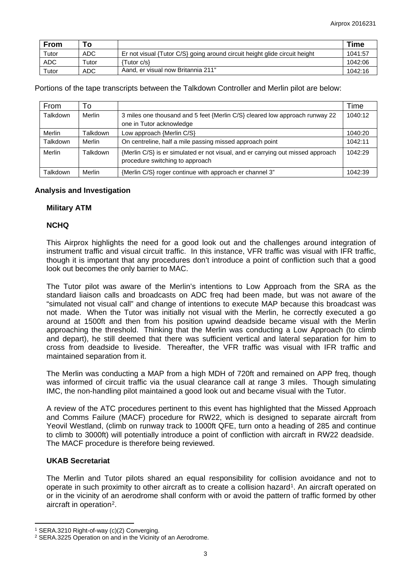| <b>From</b> | Τл.   |                                                                            | <b>Time</b> |
|-------------|-------|----------------------------------------------------------------------------|-------------|
| Tutor       | ADC   | Er not visual {Tutor C/S} going around circuit height glide circuit height | 1041:57     |
| <b>ADC</b>  | Tutor | 'Tutor c/s}                                                                | 1042:06     |
| Tutor       | ADC   | Aand, er visual now Britannia 211"                                         | 1042:16     |

Portions of the tape transcripts between the Talkdown Controller and Merlin pilot are below:

| <b>From</b> | To       |                                                                                                                    | Time    |
|-------------|----------|--------------------------------------------------------------------------------------------------------------------|---------|
| Talkdown    | Merlin   | 3 miles one thousand and 5 feet {Merlin C/S} cleared low approach runway 22<br>one in Tutor acknowledge            | 1040:12 |
| Merlin      | Talkdown | Low approach {Merlin C/S}                                                                                          | 1040:20 |
| Talkdown    | Merlin   | On centreline, half a mile passing missed approach point                                                           | 1042:11 |
| Merlin      | Talkdown | {Merlin C/S} is er simulated er not visual, and er carrying out missed approach<br>procedure switching to approach | 1042:29 |
| Talkdown    | Merlin   | {Merlin C/S} roger continue with approach er channel 3"                                                            | 1042:39 |

### **Analysis and Investigation**

### **Military ATM**

### **NCHQ**

This Airprox highlights the need for a good look out and the challenges around integration of instrument traffic and visual circuit traffic. In this instance, VFR traffic was visual with IFR traffic, though it is important that any procedures don't introduce a point of confliction such that a good look out becomes the only barrier to MAC.

The Tutor pilot was aware of the Merlin's intentions to Low Approach from the SRA as the standard liaison calls and broadcasts on ADC freq had been made, but was not aware of the "simulated not visual call" and change of intentions to execute MAP because this broadcast was not made. When the Tutor was initially not visual with the Merlin, he correctly executed a go around at 1500ft and then from his position upwind deadside became visual with the Merlin approaching the threshold. Thinking that the Merlin was conducting a Low Approach (to climb and depart), he still deemed that there was sufficient vertical and lateral separation for him to cross from deadside to liveside. Thereafter, the VFR traffic was visual with IFR traffic and maintained separation from it.

The Merlin was conducting a MAP from a high MDH of 720ft and remained on APP freq, though was informed of circuit traffic via the usual clearance call at range 3 miles. Though simulating IMC, the non-handling pilot maintained a good look out and became visual with the Tutor.

A review of the ATC procedures pertinent to this event has highlighted that the Missed Approach and Comms Failure (MACF) procedure for RW22, which is designed to separate aircraft from Yeovil Westland, (climb on runway track to 1000ft QFE, turn onto a heading of 285 and continue to climb to 3000ft) will potentially introduce a point of confliction with aircraft in RW22 deadside. The MACF procedure is therefore being reviewed.

## **UKAB Secretariat**

 $\overline{a}$ 

The Merlin and Tutor pilots shared an equal responsibility for collision avoidance and not to operate in such proximity to other aircraft as to create a collision hazard<sup>[1](#page-2-0)</sup>. An aircraft operated on or in the vicinity of an aerodrome shall conform with or avoid the pattern of traffic formed by other aircraft in operation<sup>[2](#page-2-1)</sup>.

<span id="page-2-0"></span><sup>1</sup> SERA.3210 Right-of-way (c)(2) Converging.

<span id="page-2-1"></span><sup>2</sup> SERA.3225 Operation on and in the Vicinity of an Aerodrome.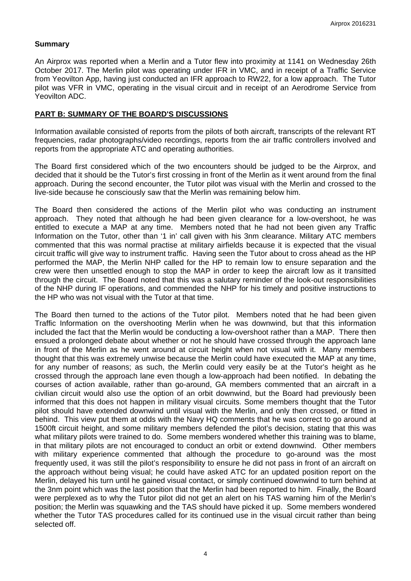### **Summary**

An Airprox was reported when a Merlin and a Tutor flew into proximity at 1141 on Wednesday 26th October 2017. The Merlin pilot was operating under IFR in VMC, and in receipt of a Traffic Service from Yeovilton App, having just conducted an IFR approach to RW22, for a low approach. The Tutor pilot was VFR in VMC, operating in the visual circuit and in receipt of an Aerodrome Service from Yeovilton ADC.

### **PART B: SUMMARY OF THE BOARD'S DISCUSSIONS**

Information available consisted of reports from the pilots of both aircraft, transcripts of the relevant RT frequencies, radar photographs/video recordings, reports from the air traffic controllers involved and reports from the appropriate ATC and operating authorities.

The Board first considered which of the two encounters should be judged to be the Airprox, and decided that it should be the Tutor's first crossing in front of the Merlin as it went around from the final approach. During the second encounter, the Tutor pilot was visual with the Merlin and crossed to the live-side because he consciously saw that the Merlin was remaining below him.

The Board then considered the actions of the Merlin pilot who was conducting an instrument approach. They noted that although he had been given clearance for a low-overshoot, he was entitled to execute a MAP at any time. Members noted that he had not been given any Traffic Information on the Tutor, other than '1 in' call given with his 3nm clearance. Military ATC members commented that this was normal practise at military airfields because it is expected that the visual circuit traffic will give way to instrument traffic. Having seen the Tutor about to cross ahead as the HP performed the MAP, the Merlin NHP called for the HP to remain low to ensure separation and the crew were then unsettled enough to stop the MAP in order to keep the aircraft low as it transitted through the circuit. The Board noted that this was a salutary reminder of the look-out responsibilities of the NHP during IF operations, and commended the NHP for his timely and positive instructions to the HP who was not visual with the Tutor at that time.

The Board then turned to the actions of the Tutor pilot. Members noted that he had been given Traffic Information on the overshooting Merlin when he was downwind, but that this information included the fact that the Merlin would be conducting a low-overshoot rather than a MAP. There then ensued a prolonged debate about whether or not he should have crossed through the approach lane in front of the Merlin as he went around at circuit height when not visual with it. Many members thought that this was extremely unwise because the Merlin could have executed the MAP at any time, for any number of reasons; as such, the Merlin could very easily be at the Tutor's height as he crossed through the approach lane even though a low-approach had been notified. In debating the courses of action available, rather than go-around, GA members commented that an aircraft in a civilian circuit would also use the option of an orbit downwind, but the Board had previously been informed that this does not happen in military visual circuits. Some members thought that the Tutor pilot should have extended downwind until visual with the Merlin, and only then crossed, or fitted in behind. This view put them at odds with the Navy HQ comments that he was correct to go around at 1500ft circuit height, and some military members defended the pilot's decision, stating that this was what military pilots were trained to do. Some members wondered whether this training was to blame, in that military pilots are not encouraged to conduct an orbit or extend downwind. Other members with military experience commented that although the procedure to go-around was the most frequently used, it was still the pilot's responsibility to ensure he did not pass in front of an aircraft on the approach without being visual; he could have asked ATC for an updated position report on the Merlin, delayed his turn until he gained visual contact, or simply continued downwind to turn behind at the 3nm point which was the last position that the Merlin had been reported to him. Finally, the Board were perplexed as to why the Tutor pilot did not get an alert on his TAS warning him of the Merlin's position; the Merlin was squawking and the TAS should have picked it up. Some members wondered whether the Tutor TAS procedures called for its continued use in the visual circuit rather than being selected off.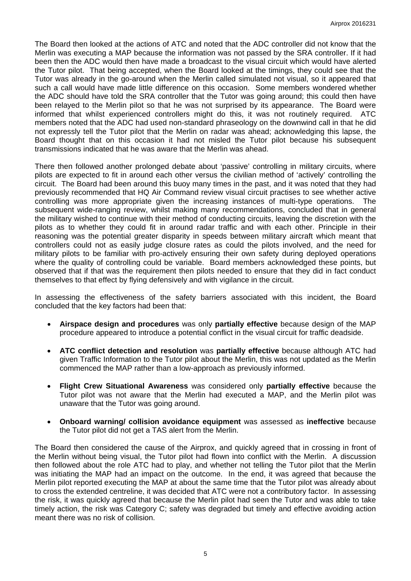The Board then looked at the actions of ATC and noted that the ADC controller did not know that the Merlin was executing a MAP because the information was not passed by the SRA controller. If it had been then the ADC would then have made a broadcast to the visual circuit which would have alerted the Tutor pilot. That being accepted, when the Board looked at the timings, they could see that the Tutor was already in the go-around when the Merlin called simulated not visual, so it appeared that such a call would have made little difference on this occasion. Some members wondered whether the ADC should have told the SRA controller that the Tutor was going around; this could then have been relayed to the Merlin pilot so that he was not surprised by its appearance. The Board were informed that whilst experienced controllers might do this, it was not routinely required. ATC members noted that the ADC had used non-standard phraseology on the downwind call in that he did not expressly tell the Tutor pilot that the Merlin on radar was ahead; acknowledging this lapse, the Board thought that on this occasion it had not misled the Tutor pilot because his subsequent transmissions indicated that he was aware that the Merlin was ahead.

There then followed another prolonged debate about 'passive' controlling in military circuits, where pilots are expected to fit in around each other versus the civilian method of 'actively' controlling the circuit. The Board had been around this buoy many times in the past, and it was noted that they had previously recommended that HQ Air Command review visual circuit practises to see whether active controlling was more appropriate given the increasing instances of multi-type operations. The subsequent wide-ranging review, whilst making many recommendations, concluded that in general the military wished to continue with their method of conducting circuits, leaving the discretion with the pilots as to whether they could fit in around radar traffic and with each other. Principle in their reasoning was the potential greater disparity in speeds between military aircraft which meant that controllers could not as easily judge closure rates as could the pilots involved, and the need for military pilots to be familiar with pro-actively ensuring their own safety during deployed operations where the quality of controlling could be variable. Board members acknowledged these points, but observed that if that was the requirement then pilots needed to ensure that they did in fact conduct themselves to that effect by flying defensively and with vigilance in the circuit.

In assessing the effectiveness of the safety barriers associated with this incident, the Board concluded that the key factors had been that:

- **Airspace design and procedures** was only **partially effective** because design of the MAP procedure appeared to introduce a potential conflict in the visual circuit for traffic deadside.
- **ATC conflict detection and resolution** was **partially effective** because although ATC had given Traffic Information to the Tutor pilot about the Merlin, this was not updated as the Merlin commenced the MAP rather than a low-approach as previously informed.
- **Flight Crew Situational Awareness** was considered only **partially effective** because the Tutor pilot was not aware that the Merlin had executed a MAP, and the Merlin pilot was unaware that the Tutor was going around.
- **Onboard warning/ collision avoidance equipment** was assessed as **ineffective** because the Tutor pilot did not get a TAS alert from the Merlin.

The Board then considered the cause of the Airprox, and quickly agreed that in crossing in front of the Merlin without being visual, the Tutor pilot had flown into conflict with the Merlin. A discussion then followed about the role ATC had to play, and whether not telling the Tutor pilot that the Merlin was initiating the MAP had an impact on the outcome. In the end, it was agreed that because the Merlin pilot reported executing the MAP at about the same time that the Tutor pilot was already about to cross the extended centreline, it was decided that ATC were not a contributory factor. In assessing the risk, it was quickly agreed that because the Merlin pilot had seen the Tutor and was able to take timely action, the risk was Category C; safety was degraded but timely and effective avoiding action meant there was no risk of collision.